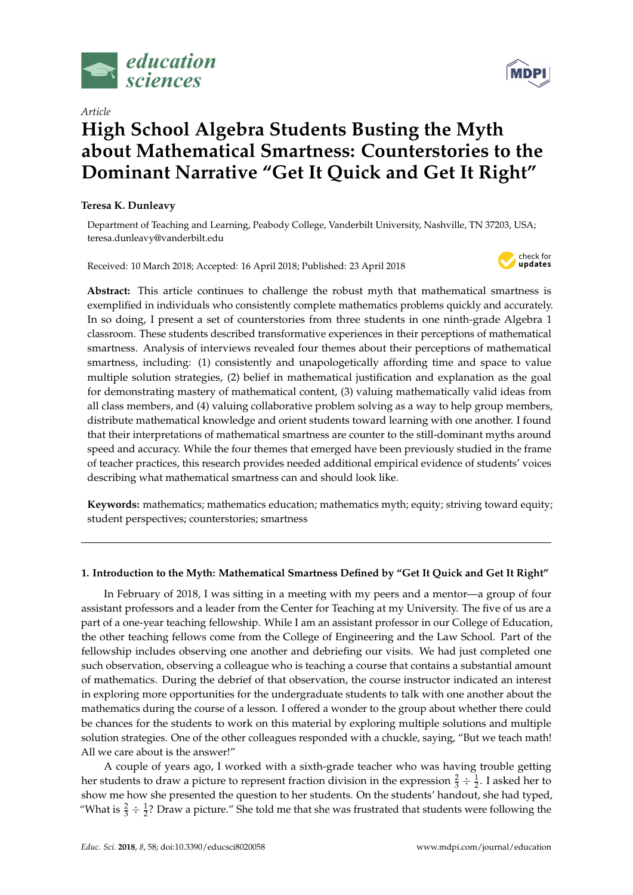

*Article*

# **High School Algebra Students Busting the Myth about Mathematical Smartness: Counterstories to the Dominant Narrative "Get It Quick and Get It Right"**

# **Teresa K. Dunleavy**

Department of Teaching and Learning, Peabody College, Vanderbilt University, Nashville, TN 37203, USA; teresa.dunleavy@vanderbilt.edu

Received: 10 March 2018; Accepted: 16 April 2018; Published: 23 April 2018



**Abstract:** This article continues to challenge the robust myth that mathematical smartness is exemplified in individuals who consistently complete mathematics problems quickly and accurately. In so doing, I present a set of counterstories from three students in one ninth-grade Algebra 1 classroom. These students described transformative experiences in their perceptions of mathematical smartness. Analysis of interviews revealed four themes about their perceptions of mathematical smartness, including: (1) consistently and unapologetically affording time and space to value multiple solution strategies, (2) belief in mathematical justification and explanation as the goal for demonstrating mastery of mathematical content, (3) valuing mathematically valid ideas from all class members, and (4) valuing collaborative problem solving as a way to help group members, distribute mathematical knowledge and orient students toward learning with one another. I found that their interpretations of mathematical smartness are counter to the still-dominant myths around speed and accuracy. While the four themes that emerged have been previously studied in the frame of teacher practices, this research provides needed additional empirical evidence of students' voices describing what mathematical smartness can and should look like.

**Keywords:** mathematics; mathematics education; mathematics myth; equity; striving toward equity; student perspectives; counterstories; smartness

# **1. Introduction to the Myth: Mathematical Smartness Defined by "Get It Quick and Get It Right"**

In February of 2018, I was sitting in a meeting with my peers and a mentor—a group of four assistant professors and a leader from the Center for Teaching at my University. The five of us are a part of a one-year teaching fellowship. While I am an assistant professor in our College of Education, the other teaching fellows come from the College of Engineering and the Law School. Part of the fellowship includes observing one another and debriefing our visits. We had just completed one such observation, observing a colleague who is teaching a course that contains a substantial amount of mathematics. During the debrief of that observation, the course instructor indicated an interest in exploring more opportunities for the undergraduate students to talk with one another about the mathematics during the course of a lesson. I offered a wonder to the group about whether there could be chances for the students to work on this material by exploring multiple solutions and multiple solution strategies. One of the other colleagues responded with a chuckle, saying, "But we teach math! All we care about is the answer!"

A couple of years ago, I worked with a sixth-grade teacher who was having trouble getting her students to draw a picture to represent fraction division in the expression  $\frac{2}{3} \div \frac{1}{2}$ . I asked her to show me how she presented the question to her students. On the students' handout, she had typed, "What is  $\frac{2}{3} \div \frac{1}{2}$ ? Draw a picture." She told me that she was frustrated that students were following the

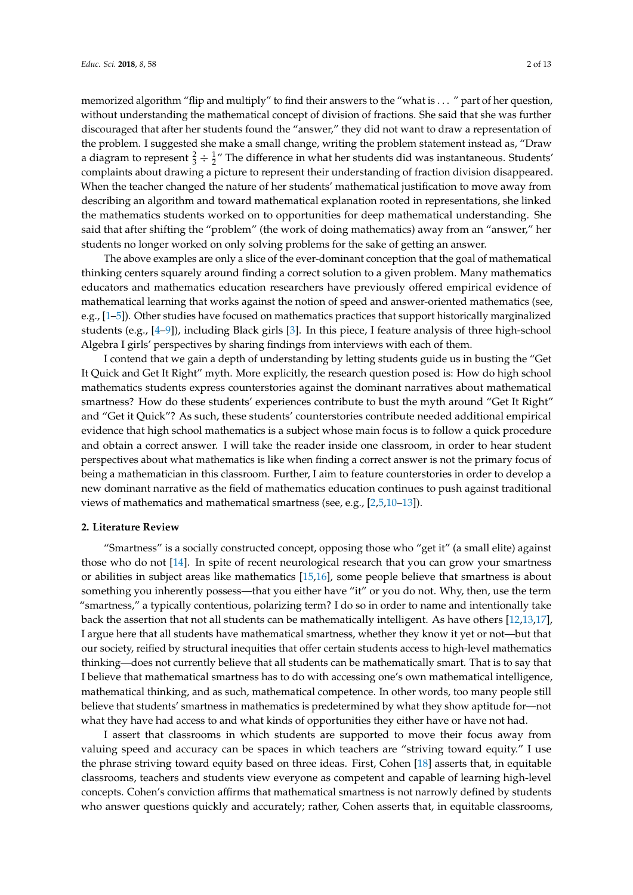memorized algorithm "flip and multiply" to find their answers to the "what is . . . " part of her question, without understanding the mathematical concept of division of fractions. She said that she was further discouraged that after her students found the "answer," they did not want to draw a representation of the problem. I suggested she make a small change, writing the problem statement instead as, "Draw a diagram to represent  $\frac{2}{3} \div \frac{1}{2}$ " The difference in what her students did was instantaneous. Students' complaints about drawing a picture to represent their understanding of fraction division disappeared. When the teacher changed the nature of her students' mathematical justification to move away from describing an algorithm and toward mathematical explanation rooted in representations, she linked the mathematics students worked on to opportunities for deep mathematical understanding. She said that after shifting the "problem" (the work of doing mathematics) away from an "answer," her students no longer worked on only solving problems for the sake of getting an answer.

The above examples are only a slice of the ever-dominant conception that the goal of mathematical thinking centers squarely around finding a correct solution to a given problem. Many mathematics educators and mathematics education researchers have previously offered empirical evidence of mathematical learning that works against the notion of speed and answer-oriented mathematics (see, e.g., [\[1](#page-11-0)[–5\]](#page-11-1)). Other studies have focused on mathematics practices that support historically marginalized students (e.g., [\[4–](#page-11-2)[9\]](#page-11-3)), including Black girls [\[3\]](#page-11-4). In this piece, I feature analysis of three high-school Algebra I girls' perspectives by sharing findings from interviews with each of them.

I contend that we gain a depth of understanding by letting students guide us in busting the "Get It Quick and Get It Right" myth. More explicitly, the research question posed is: How do high school mathematics students express counterstories against the dominant narratives about mathematical smartness? How do these students' experiences contribute to bust the myth around "Get It Right" and "Get it Quick"? As such, these students' counterstories contribute needed additional empirical evidence that high school mathematics is a subject whose main focus is to follow a quick procedure and obtain a correct answer. I will take the reader inside one classroom, in order to hear student perspectives about what mathematics is like when finding a correct answer is not the primary focus of being a mathematician in this classroom. Further, I aim to feature counterstories in order to develop a new dominant narrative as the field of mathematics education continues to push against traditional views of mathematics and mathematical smartness (see, e.g., [\[2](#page-11-5)[,5](#page-11-1)[,10](#page-11-6)[–13\]](#page-11-7)).

#### **2. Literature Review**

"Smartness" is a socially constructed concept, opposing those who "get it" (a small elite) against those who do not [\[14\]](#page-11-8). In spite of recent neurological research that you can grow your smartness or abilities in subject areas like mathematics [\[15](#page-11-9)[,16\]](#page-11-10), some people believe that smartness is about something you inherently possess—that you either have "it" or you do not. Why, then, use the term "smartness," a typically contentious, polarizing term? I do so in order to name and intentionally take back the assertion that not all students can be mathematically intelligent. As have others [\[12,](#page-11-11)[13,](#page-11-7)[17\]](#page-11-12), I argue here that all students have mathematical smartness, whether they know it yet or not—but that our society, reified by structural inequities that offer certain students access to high-level mathematics thinking—does not currently believe that all students can be mathematically smart. That is to say that I believe that mathematical smartness has to do with accessing one's own mathematical intelligence, mathematical thinking, and as such, mathematical competence. In other words, too many people still believe that students' smartness in mathematics is predetermined by what they show aptitude for—not what they have had access to and what kinds of opportunities they either have or have not had.

I assert that classrooms in which students are supported to move their focus away from valuing speed and accuracy can be spaces in which teachers are "striving toward equity." I use the phrase striving toward equity based on three ideas. First, Cohen [\[18\]](#page-11-13) asserts that, in equitable classrooms, teachers and students view everyone as competent and capable of learning high-level concepts. Cohen's conviction affirms that mathematical smartness is not narrowly defined by students who answer questions quickly and accurately; rather, Cohen asserts that, in equitable classrooms,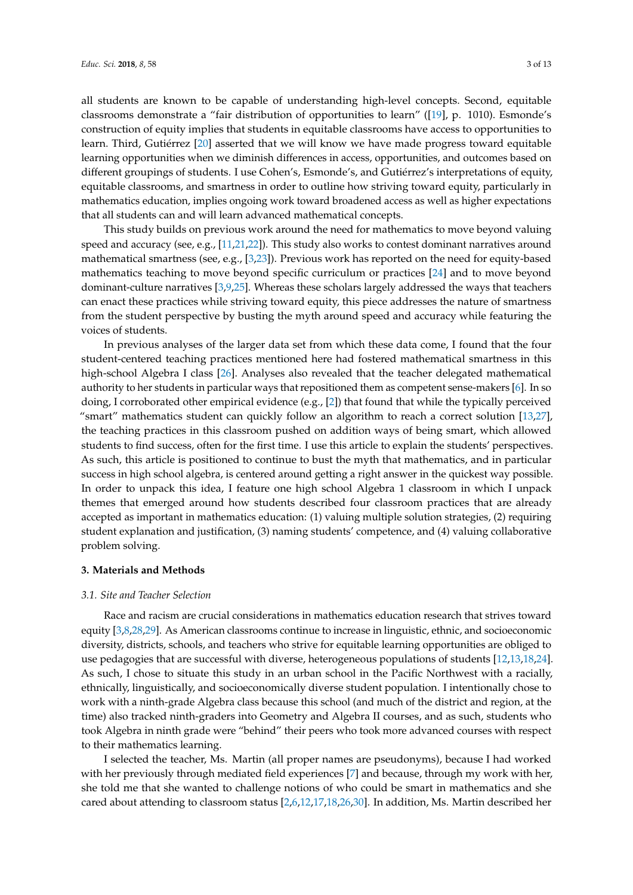all students are known to be capable of understanding high-level concepts. Second, equitable classrooms demonstrate a "fair distribution of opportunities to learn" ([\[19\]](#page-11-14), p. 1010). Esmonde's construction of equity implies that students in equitable classrooms have access to opportunities to learn. Third, Gutiérrez [\[20\]](#page-11-15) asserted that we will know we have made progress toward equitable learning opportunities when we diminish differences in access, opportunities, and outcomes based on different groupings of students. I use Cohen's, Esmonde's, and Gutiérrez's interpretations of equity, equitable classrooms, and smartness in order to outline how striving toward equity, particularly in mathematics education, implies ongoing work toward broadened access as well as higher expectations that all students can and will learn advanced mathematical concepts.

This study builds on previous work around the need for mathematics to move beyond valuing speed and accuracy (see, e.g., [\[11,](#page-11-16)[21](#page-11-17)[,22\]](#page-11-18)). This study also works to contest dominant narratives around mathematical smartness (see, e.g., [\[3](#page-11-4)[,23\]](#page-11-19)). Previous work has reported on the need for equity-based mathematics teaching to move beyond specific curriculum or practices [\[24\]](#page-12-0) and to move beyond dominant-culture narratives [\[3](#page-11-4)[,9,](#page-11-3)[25\]](#page-12-1). Whereas these scholars largely addressed the ways that teachers can enact these practices while striving toward equity, this piece addresses the nature of smartness from the student perspective by busting the myth around speed and accuracy while featuring the voices of students.

In previous analyses of the larger data set from which these data come, I found that the four student-centered teaching practices mentioned here had fostered mathematical smartness in this high-school Algebra I class [\[26\]](#page-12-2). Analyses also revealed that the teacher delegated mathematical authority to her students in particular ways that repositioned them as competent sense-makers [\[6\]](#page-11-20). In so doing, I corroborated other empirical evidence (e.g., [\[2\]](#page-11-5)) that found that while the typically perceived "smart" mathematics student can quickly follow an algorithm to reach a correct solution [\[13,](#page-11-7)[27\]](#page-12-3), the teaching practices in this classroom pushed on addition ways of being smart, which allowed students to find success, often for the first time. I use this article to explain the students' perspectives. As such, this article is positioned to continue to bust the myth that mathematics, and in particular success in high school algebra, is centered around getting a right answer in the quickest way possible. In order to unpack this idea, I feature one high school Algebra 1 classroom in which I unpack themes that emerged around how students described four classroom practices that are already accepted as important in mathematics education: (1) valuing multiple solution strategies, (2) requiring student explanation and justification, (3) naming students' competence, and (4) valuing collaborative problem solving.

#### **3. Materials and Methods**

## *3.1. Site and Teacher Selection*

Race and racism are crucial considerations in mathematics education research that strives toward equity [\[3](#page-11-4)[,8](#page-11-21)[,28,](#page-12-4)[29\]](#page-12-5). As American classrooms continue to increase in linguistic, ethnic, and socioeconomic diversity, districts, schools, and teachers who strive for equitable learning opportunities are obliged to use pedagogies that are successful with diverse, heterogeneous populations of students [\[12](#page-11-11)[,13,](#page-11-7)[18,](#page-11-13)[24\]](#page-12-0). As such, I chose to situate this study in an urban school in the Pacific Northwest with a racially, ethnically, linguistically, and socioeconomically diverse student population. I intentionally chose to work with a ninth-grade Algebra class because this school (and much of the district and region, at the time) also tracked ninth-graders into Geometry and Algebra II courses, and as such, students who took Algebra in ninth grade were "behind" their peers who took more advanced courses with respect to their mathematics learning.

I selected the teacher, Ms. Martin (all proper names are pseudonyms), because I had worked with her previously through mediated field experiences [\[7\]](#page-11-22) and because, through my work with her, she told me that she wanted to challenge notions of who could be smart in mathematics and she cared about attending to classroom status [\[2](#page-11-5)[,6](#page-11-20)[,12](#page-11-11)[,17](#page-11-12)[,18](#page-11-13)[,26](#page-12-2)[,30\]](#page-12-6). In addition, Ms. Martin described her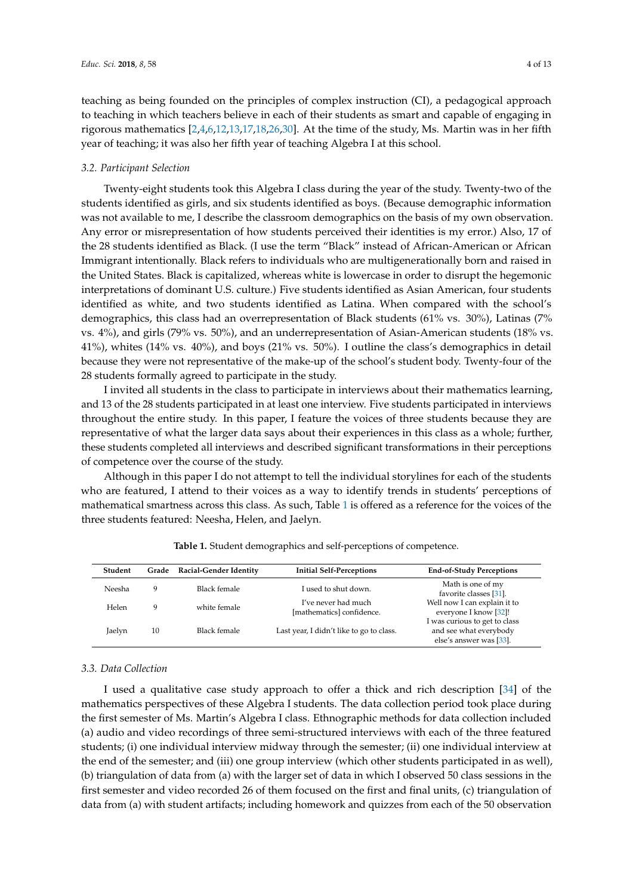teaching as being founded on the principles of complex instruction (CI), a pedagogical approach to teaching in which teachers believe in each of their students as smart and capable of engaging in rigorous mathematics [\[2,](#page-11-5)[4,](#page-11-2)[6,](#page-11-20)[12,](#page-11-11)[13,](#page-11-7)[17,](#page-11-12)[18,](#page-11-13)[26,](#page-12-2)[30\]](#page-12-6). At the time of the study, Ms. Martin was in her fifth year of teaching; it was also her fifth year of teaching Algebra I at this school.

# *3.2. Participant Selection*

Twenty-eight students took this Algebra I class during the year of the study. Twenty-two of the students identified as girls, and six students identified as boys. (Because demographic information was not available to me, I describe the classroom demographics on the basis of my own observation. Any error or misrepresentation of how students perceived their identities is my error.) Also, 17 of the 28 students identified as Black. (I use the term "Black" instead of African-American or African Immigrant intentionally. Black refers to individuals who are multigenerationally born and raised in the United States. Black is capitalized, whereas white is lowercase in order to disrupt the hegemonic interpretations of dominant U.S. culture.) Five students identified as Asian American, four students identified as white, and two students identified as Latina. When compared with the school's demographics, this class had an overrepresentation of Black students (61% vs. 30%), Latinas (7% vs. 4%), and girls (79% vs. 50%), and an underrepresentation of Asian-American students (18% vs. 41%), whites (14% vs. 40%), and boys (21% vs. 50%). I outline the class's demographics in detail because they were not representative of the make-up of the school's student body. Twenty-four of the 28 students formally agreed to participate in the study.

I invited all students in the class to participate in interviews about their mathematics learning, and 13 of the 28 students participated in at least one interview. Five students participated in interviews throughout the entire study. In this paper, I feature the voices of three students because they are representative of what the larger data says about their experiences in this class as a whole; further, these students completed all interviews and described significant transformations in their perceptions of competence over the course of the study.

Although in this paper I do not attempt to tell the individual storylines for each of the students who are featured, I attend to their voices as a way to identify trends in students' perceptions of mathematical smartness across this class. As such, Table [1](#page-3-0) is offered as a reference for the voices of the three students featured: Neesha, Helen, and Jaelyn.

<span id="page-3-0"></span>

| Student | Grade | <b>Racial-Gender Identity</b> | <b>Initial Self-Perceptions</b>                  | <b>End-of-Study Perceptions</b>                                                    |
|---------|-------|-------------------------------|--------------------------------------------------|------------------------------------------------------------------------------------|
| Neesha  | 9     | Black female                  | I used to shut down.                             | Math is one of my<br>favorite classes [31].                                        |
| Helen   | 9     | white female                  | I've never had much<br>[mathematics] confidence. | Well now I can explain it to<br>everyone I know [32]!                              |
| Jaelyn  | 10    | Black female                  | Last year, I didn't like to go to class.         | I was curious to get to class<br>and see what everybody<br>else's answer was [33]. |

**Table 1.** Student demographics and self-perceptions of competence.

## *3.3. Data Collection*

I used a qualitative case study approach to offer a thick and rich description [\[34\]](#page-12-10) of the mathematics perspectives of these Algebra I students. The data collection period took place during the first semester of Ms. Martin's Algebra I class. Ethnographic methods for data collection included (a) audio and video recordings of three semi-structured interviews with each of the three featured students; (i) one individual interview midway through the semester; (ii) one individual interview at the end of the semester; and (iii) one group interview (which other students participated in as well), (b) triangulation of data from (a) with the larger set of data in which I observed 50 class sessions in the first semester and video recorded 26 of them focused on the first and final units, (c) triangulation of data from (a) with student artifacts; including homework and quizzes from each of the 50 observation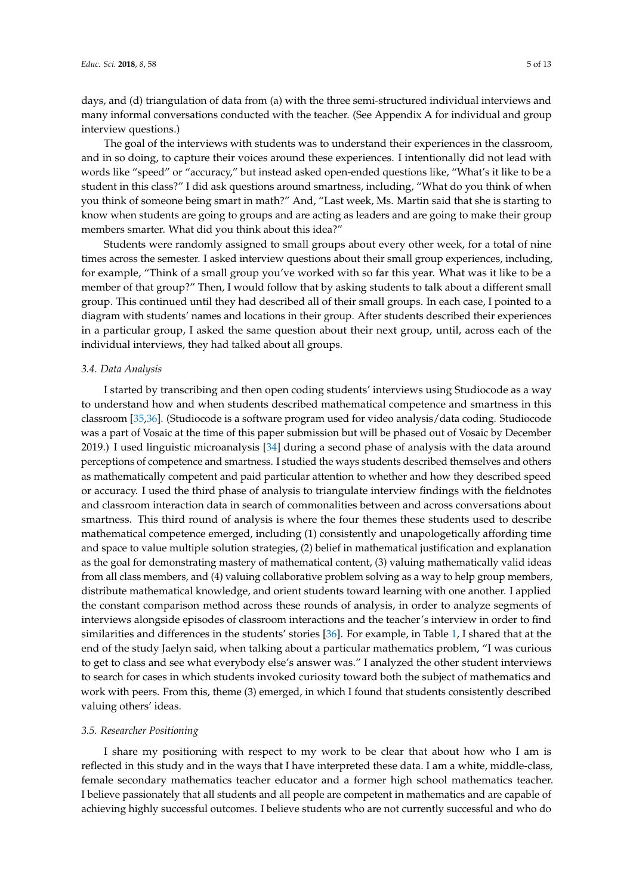days, and (d) triangulation of data from (a) with the three semi-structured individual interviews and many informal conversations conducted with the teacher. (See Appendix A for individual and group interview questions.)

The goal of the interviews with students was to understand their experiences in the classroom, and in so doing, to capture their voices around these experiences. I intentionally did not lead with words like "speed" or "accuracy," but instead asked open-ended questions like, "What's it like to be a student in this class?" I did ask questions around smartness, including, "What do you think of when you think of someone being smart in math?" And, "Last week, Ms. Martin said that she is starting to know when students are going to groups and are acting as leaders and are going to make their group members smarter. What did you think about this idea?"

Students were randomly assigned to small groups about every other week, for a total of nine times across the semester. I asked interview questions about their small group experiences, including, for example, "Think of a small group you've worked with so far this year. What was it like to be a member of that group?" Then, I would follow that by asking students to talk about a different small group. This continued until they had described all of their small groups. In each case, I pointed to a diagram with students' names and locations in their group. After students described their experiences in a particular group, I asked the same question about their next group, until, across each of the individual interviews, they had talked about all groups.

#### *3.4. Data Analysis*

I started by transcribing and then open coding students' interviews using Studiocode as a way to understand how and when students described mathematical competence and smartness in this classroom [\[35,](#page-12-11)[36\]](#page-12-12). (Studiocode is a software program used for video analysis/data coding. Studiocode was a part of Vosaic at the time of this paper submission but will be phased out of Vosaic by December 2019.) I used linguistic microanalysis [\[34\]](#page-12-10) during a second phase of analysis with the data around perceptions of competence and smartness. I studied the ways students described themselves and others as mathematically competent and paid particular attention to whether and how they described speed or accuracy. I used the third phase of analysis to triangulate interview findings with the fieldnotes and classroom interaction data in search of commonalities between and across conversations about smartness. This third round of analysis is where the four themes these students used to describe mathematical competence emerged, including (1) consistently and unapologetically affording time and space to value multiple solution strategies, (2) belief in mathematical justification and explanation as the goal for demonstrating mastery of mathematical content, (3) valuing mathematically valid ideas from all class members, and (4) valuing collaborative problem solving as a way to help group members, distribute mathematical knowledge, and orient students toward learning with one another. I applied the constant comparison method across these rounds of analysis, in order to analyze segments of interviews alongside episodes of classroom interactions and the teacher's interview in order to find similarities and differences in the students' stories [\[36\]](#page-12-12). For example, in Table [1,](#page-3-0) I shared that at the end of the study Jaelyn said, when talking about a particular mathematics problem, "I was curious to get to class and see what everybody else's answer was." I analyzed the other student interviews to search for cases in which students invoked curiosity toward both the subject of mathematics and work with peers. From this, theme (3) emerged, in which I found that students consistently described valuing others' ideas.

#### *3.5. Researcher Positioning*

I share my positioning with respect to my work to be clear that about how who I am is reflected in this study and in the ways that I have interpreted these data. I am a white, middle-class, female secondary mathematics teacher educator and a former high school mathematics teacher. I believe passionately that all students and all people are competent in mathematics and are capable of achieving highly successful outcomes. I believe students who are not currently successful and who do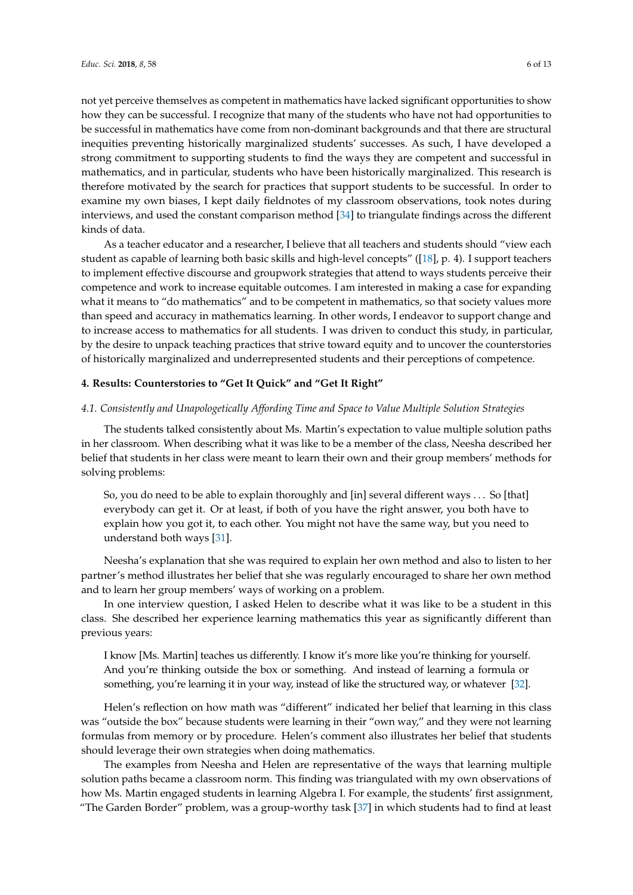not yet perceive themselves as competent in mathematics have lacked significant opportunities to show how they can be successful. I recognize that many of the students who have not had opportunities to be successful in mathematics have come from non-dominant backgrounds and that there are structural inequities preventing historically marginalized students' successes. As such, I have developed a strong commitment to supporting students to find the ways they are competent and successful in mathematics, and in particular, students who have been historically marginalized. This research is therefore motivated by the search for practices that support students to be successful. In order to examine my own biases, I kept daily fieldnotes of my classroom observations, took notes during interviews, and used the constant comparison method [\[34\]](#page-12-10) to triangulate findings across the different kinds of data.

As a teacher educator and a researcher, I believe that all teachers and students should "view each student as capable of learning both basic skills and high-level concepts" ([\[18\]](#page-11-13), p. 4). I support teachers to implement effective discourse and groupwork strategies that attend to ways students perceive their competence and work to increase equitable outcomes. I am interested in making a case for expanding what it means to "do mathematics" and to be competent in mathematics, so that society values more than speed and accuracy in mathematics learning. In other words, I endeavor to support change and to increase access to mathematics for all students. I was driven to conduct this study, in particular, by the desire to unpack teaching practices that strive toward equity and to uncover the counterstories of historically marginalized and underrepresented students and their perceptions of competence.

#### **4. Results: Counterstories to "Get It Quick" and "Get It Right"**

#### *4.1. Consistently and Unapologetically Affording Time and Space to Value Multiple Solution Strategies*

The students talked consistently about Ms. Martin's expectation to value multiple solution paths in her classroom. When describing what it was like to be a member of the class, Neesha described her belief that students in her class were meant to learn their own and their group members' methods for solving problems:

So, you do need to be able to explain thoroughly and [in] several different ways . . . So [that] everybody can get it. Or at least, if both of you have the right answer, you both have to explain how you got it, to each other. You might not have the same way, but you need to understand both ways [\[31\]](#page-12-7).

Neesha's explanation that she was required to explain her own method and also to listen to her partner's method illustrates her belief that she was regularly encouraged to share her own method and to learn her group members' ways of working on a problem.

In one interview question, I asked Helen to describe what it was like to be a student in this class. She described her experience learning mathematics this year as significantly different than previous years:

I know [Ms. Martin] teaches us differently. I know it's more like you're thinking for yourself. And you're thinking outside the box or something. And instead of learning a formula or something, you're learning it in your way, instead of like the structured way, or whatever [\[32\]](#page-12-8).

Helen's reflection on how math was "different" indicated her belief that learning in this class was "outside the box" because students were learning in their "own way," and they were not learning formulas from memory or by procedure. Helen's comment also illustrates her belief that students should leverage their own strategies when doing mathematics.

The examples from Neesha and Helen are representative of the ways that learning multiple solution paths became a classroom norm. This finding was triangulated with my own observations of how Ms. Martin engaged students in learning Algebra I. For example, the students' first assignment, "The Garden Border" problem, was a group-worthy task [\[37\]](#page-12-13) in which students had to find at least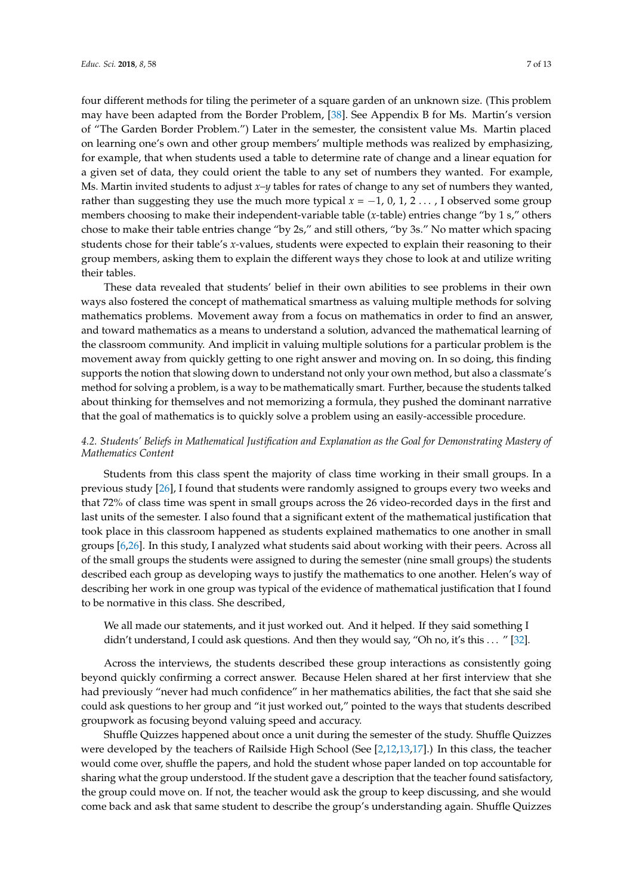four different methods for tiling the perimeter of a square garden of an unknown size. (This problem may have been adapted from the Border Problem, [\[38\]](#page-12-14). See Appendix B for Ms. Martin's version of "The Garden Border Problem.") Later in the semester, the consistent value Ms. Martin placed on learning one's own and other group members' multiple methods was realized by emphasizing, for example, that when students used a table to determine rate of change and a linear equation for a given set of data, they could orient the table to any set of numbers they wanted. For example, Ms. Martin invited students to adjust *x–y* tables for rates of change to any set of numbers they wanted, rather than suggesting they use the much more typical  $x = -1$ , 0, 1, 2 . . . , I observed some group members choosing to make their independent-variable table (*x-*table) entries change "by 1 s," others chose to make their table entries change "by 2s," and still others, "by 3s." No matter which spacing students chose for their table's *x-*values, students were expected to explain their reasoning to their group members, asking them to explain the different ways they chose to look at and utilize writing their tables.

These data revealed that students' belief in their own abilities to see problems in their own ways also fostered the concept of mathematical smartness as valuing multiple methods for solving mathematics problems. Movement away from a focus on mathematics in order to find an answer, and toward mathematics as a means to understand a solution, advanced the mathematical learning of the classroom community. And implicit in valuing multiple solutions for a particular problem is the movement away from quickly getting to one right answer and moving on. In so doing, this finding supports the notion that slowing down to understand not only your own method, but also a classmate's method for solving a problem, is a way to be mathematically smart. Further, because the students talked about thinking for themselves and not memorizing a formula, they pushed the dominant narrative that the goal of mathematics is to quickly solve a problem using an easily-accessible procedure.

## *4.2. Students' Beliefs in Mathematical Justification and Explanation as the Goal for Demonstrating Mastery of Mathematics Content*

Students from this class spent the majority of class time working in their small groups. In a previous study [\[26\]](#page-12-2), I found that students were randomly assigned to groups every two weeks and that 72% of class time was spent in small groups across the 26 video-recorded days in the first and last units of the semester. I also found that a significant extent of the mathematical justification that took place in this classroom happened as students explained mathematics to one another in small groups [\[6](#page-11-20)[,26\]](#page-12-2). In this study, I analyzed what students said about working with their peers. Across all of the small groups the students were assigned to during the semester (nine small groups) the students described each group as developing ways to justify the mathematics to one another. Helen's way of describing her work in one group was typical of the evidence of mathematical justification that I found to be normative in this class. She described,

We all made our statements, and it just worked out. And it helped. If they said something I didn't understand, I could ask questions. And then they would say, "Oh no, it's this . . . " [\[32\]](#page-12-8).

Across the interviews, the students described these group interactions as consistently going beyond quickly confirming a correct answer. Because Helen shared at her first interview that she had previously "never had much confidence" in her mathematics abilities, the fact that she said she could ask questions to her group and "it just worked out," pointed to the ways that students described groupwork as focusing beyond valuing speed and accuracy.

Shuffle Quizzes happened about once a unit during the semester of the study. Shuffle Quizzes were developed by the teachers of Railside High School (See [\[2,](#page-11-5)[12,](#page-11-11)[13,](#page-11-7)[17\]](#page-11-12).) In this class, the teacher would come over, shuffle the papers, and hold the student whose paper landed on top accountable for sharing what the group understood. If the student gave a description that the teacher found satisfactory, the group could move on. If not, the teacher would ask the group to keep discussing, and she would come back and ask that same student to describe the group's understanding again. Shuffle Quizzes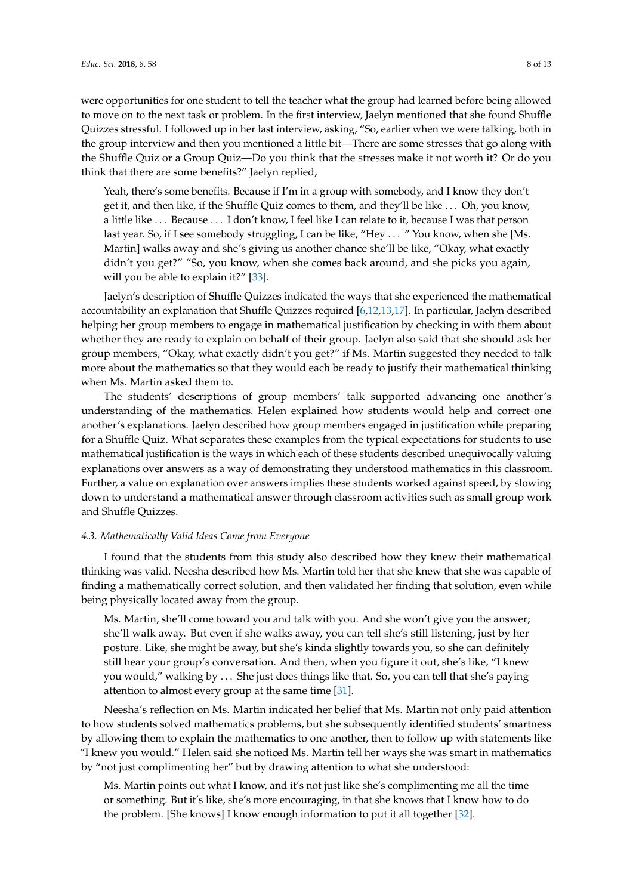were opportunities for one student to tell the teacher what the group had learned before being allowed to move on to the next task or problem. In the first interview, Jaelyn mentioned that she found Shuffle Quizzes stressful. I followed up in her last interview, asking, "So, earlier when we were talking, both in the group interview and then you mentioned a little bit—There are some stresses that go along with the Shuffle Quiz or a Group Quiz—Do you think that the stresses make it not worth it? Or do you think that there are some benefits?" Jaelyn replied,

Yeah, there's some benefits. Because if I'm in a group with somebody, and I know they don't get it, and then like, if the Shuffle Quiz comes to them, and they'll be like . . . Oh, you know, a little like . . . Because . . . I don't know, I feel like I can relate to it, because I was that person last year. So, if I see somebody struggling, I can be like, "Hey ... " You know, when she [Ms. Martin] walks away and she's giving us another chance she'll be like, "Okay, what exactly didn't you get?" "So, you know, when she comes back around, and she picks you again, will you be able to explain it?" [\[33\]](#page-12-9).

Jaelyn's description of Shuffle Quizzes indicated the ways that she experienced the mathematical accountability an explanation that Shuffle Quizzes required [\[6,](#page-11-20)[12,](#page-11-11)[13](#page-11-7)[,17\]](#page-11-12). In particular, Jaelyn described helping her group members to engage in mathematical justification by checking in with them about whether they are ready to explain on behalf of their group. Jaelyn also said that she should ask her group members, "Okay, what exactly didn't you get?" if Ms. Martin suggested they needed to talk more about the mathematics so that they would each be ready to justify their mathematical thinking when Ms. Martin asked them to.

The students' descriptions of group members' talk supported advancing one another's understanding of the mathematics. Helen explained how students would help and correct one another's explanations. Jaelyn described how group members engaged in justification while preparing for a Shuffle Quiz. What separates these examples from the typical expectations for students to use mathematical justification is the ways in which each of these students described unequivocally valuing explanations over answers as a way of demonstrating they understood mathematics in this classroom. Further, a value on explanation over answers implies these students worked against speed, by slowing down to understand a mathematical answer through classroom activities such as small group work and Shuffle Quizzes.

#### *4.3. Mathematically Valid Ideas Come from Everyone*

I found that the students from this study also described how they knew their mathematical thinking was valid. Neesha described how Ms. Martin told her that she knew that she was capable of finding a mathematically correct solution, and then validated her finding that solution, even while being physically located away from the group.

Ms. Martin, she'll come toward you and talk with you. And she won't give you the answer; she'll walk away. But even if she walks away, you can tell she's still listening, just by her posture. Like, she might be away, but she's kinda slightly towards you, so she can definitely still hear your group's conversation. And then, when you figure it out, she's like, "I knew you would," walking by . . . She just does things like that. So, you can tell that she's paying attention to almost every group at the same time [\[31\]](#page-12-7).

Neesha's reflection on Ms. Martin indicated her belief that Ms. Martin not only paid attention to how students solved mathematics problems, but she subsequently identified students' smartness by allowing them to explain the mathematics to one another, then to follow up with statements like "I knew you would." Helen said she noticed Ms. Martin tell her ways she was smart in mathematics by "not just complimenting her" but by drawing attention to what she understood:

Ms. Martin points out what I know, and it's not just like she's complimenting me all the time or something. But it's like, she's more encouraging, in that she knows that I know how to do the problem. [She knows] I know enough information to put it all together [\[32\]](#page-12-8).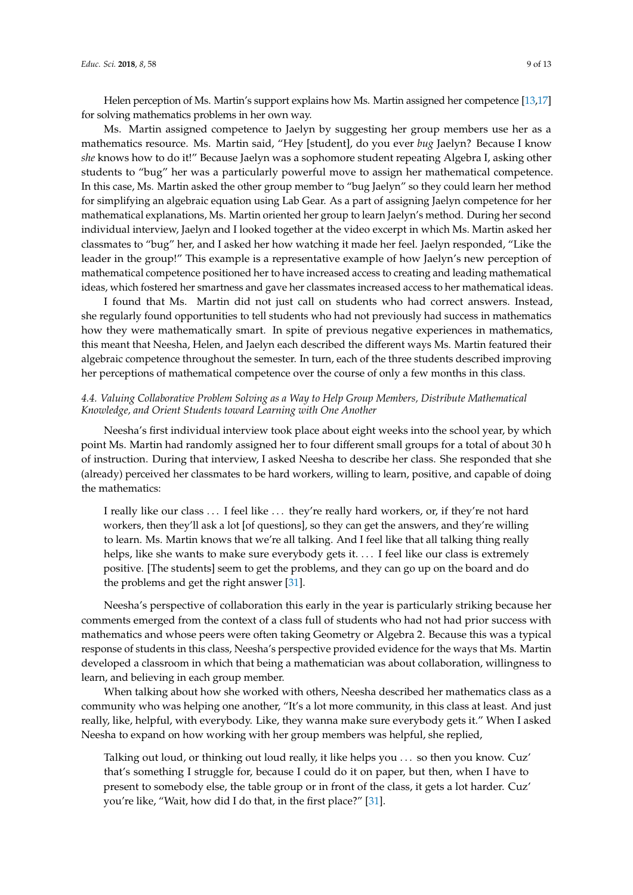Helen perception of Ms. Martin's support explains how Ms. Martin assigned her competence [\[13](#page-11-7)[,17\]](#page-11-12) for solving mathematics problems in her own way.

Ms. Martin assigned competence to Jaelyn by suggesting her group members use her as a mathematics resource. Ms. Martin said, "Hey [student], do you ever *bug* Jaelyn? Because I know *she* knows how to do it!" Because Jaelyn was a sophomore student repeating Algebra I, asking other students to "bug" her was a particularly powerful move to assign her mathematical competence. In this case, Ms. Martin asked the other group member to "bug Jaelyn" so they could learn her method for simplifying an algebraic equation using Lab Gear. As a part of assigning Jaelyn competence for her mathematical explanations, Ms. Martin oriented her group to learn Jaelyn's method. During her second individual interview, Jaelyn and I looked together at the video excerpt in which Ms. Martin asked her classmates to "bug" her, and I asked her how watching it made her feel. Jaelyn responded, "Like the leader in the group!" This example is a representative example of how Jaelyn's new perception of mathematical competence positioned her to have increased access to creating and leading mathematical ideas, which fostered her smartness and gave her classmates increased access to her mathematical ideas.

I found that Ms. Martin did not just call on students who had correct answers. Instead, she regularly found opportunities to tell students who had not previously had success in mathematics how they were mathematically smart. In spite of previous negative experiences in mathematics, this meant that Neesha, Helen, and Jaelyn each described the different ways Ms. Martin featured their algebraic competence throughout the semester. In turn, each of the three students described improving her perceptions of mathematical competence over the course of only a few months in this class.

## *4.4. Valuing Collaborative Problem Solving as a Way to Help Group Members, Distribute Mathematical Knowledge, and Orient Students toward Learning with One Another*

Neesha's first individual interview took place about eight weeks into the school year, by which point Ms. Martin had randomly assigned her to four different small groups for a total of about 30 h of instruction. During that interview, I asked Neesha to describe her class. She responded that she (already) perceived her classmates to be hard workers, willing to learn, positive, and capable of doing the mathematics:

I really like our class . . . I feel like . . . they're really hard workers, or, if they're not hard workers, then they'll ask a lot [of questions], so they can get the answers, and they're willing to learn. Ms. Martin knows that we're all talking. And I feel like that all talking thing really helps, like she wants to make sure everybody gets it. . . . I feel like our class is extremely positive. [The students] seem to get the problems, and they can go up on the board and do the problems and get the right answer [\[31\]](#page-12-7).

Neesha's perspective of collaboration this early in the year is particularly striking because her comments emerged from the context of a class full of students who had not had prior success with mathematics and whose peers were often taking Geometry or Algebra 2. Because this was a typical response of students in this class, Neesha's perspective provided evidence for the ways that Ms. Martin developed a classroom in which that being a mathematician was about collaboration, willingness to learn, and believing in each group member.

When talking about how she worked with others, Neesha described her mathematics class as a community who was helping one another, "It's a lot more community, in this class at least. And just really, like, helpful, with everybody. Like, they wanna make sure everybody gets it." When I asked Neesha to expand on how working with her group members was helpful, she replied,

Talking out loud, or thinking out loud really, it like helps you . . . so then you know. Cuz' that's something I struggle for, because I could do it on paper, but then, when I have to present to somebody else, the table group or in front of the class, it gets a lot harder. Cuz' you're like, "Wait, how did I do that, in the first place?" [\[31\]](#page-12-7).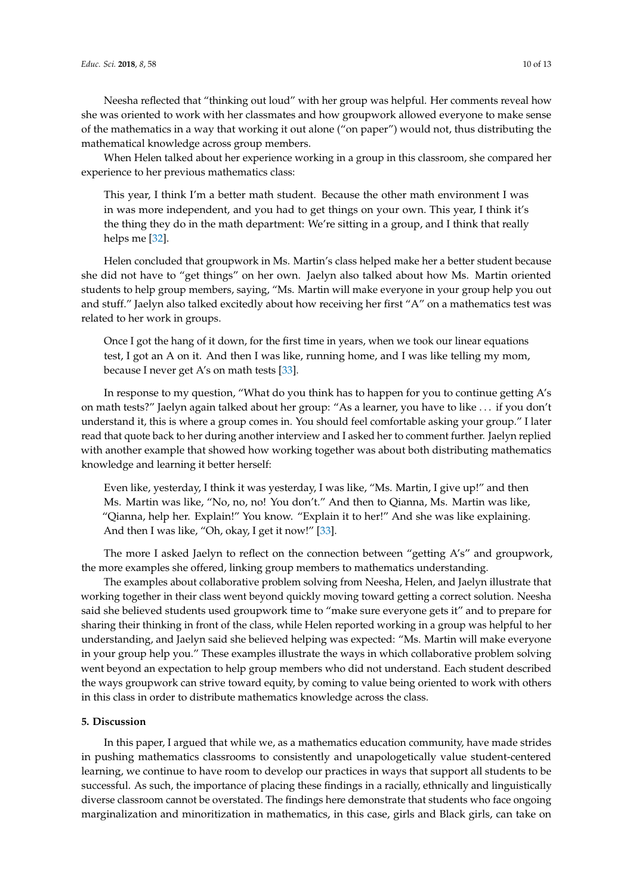Neesha reflected that "thinking out loud" with her group was helpful. Her comments reveal how she was oriented to work with her classmates and how groupwork allowed everyone to make sense of the mathematics in a way that working it out alone ("on paper") would not, thus distributing the mathematical knowledge across group members.

When Helen talked about her experience working in a group in this classroom, she compared her experience to her previous mathematics class:

This year, I think I'm a better math student. Because the other math environment I was in was more independent, and you had to get things on your own. This year, I think it's the thing they do in the math department: We're sitting in a group, and I think that really helps me [\[32\]](#page-12-8).

Helen concluded that groupwork in Ms. Martin's class helped make her a better student because she did not have to "get things" on her own. Jaelyn also talked about how Ms. Martin oriented students to help group members, saying, "Ms. Martin will make everyone in your group help you out and stuff." Jaelyn also talked excitedly about how receiving her first "A" on a mathematics test was related to her work in groups.

Once I got the hang of it down, for the first time in years, when we took our linear equations test, I got an A on it. And then I was like, running home, and I was like telling my mom, because I never get A's on math tests [\[33\]](#page-12-9).

In response to my question, "What do you think has to happen for you to continue getting A's on math tests?" Jaelyn again talked about her group: "As a learner, you have to like . . . if you don't understand it, this is where a group comes in. You should feel comfortable asking your group." I later read that quote back to her during another interview and I asked her to comment further. Jaelyn replied with another example that showed how working together was about both distributing mathematics knowledge and learning it better herself:

Even like, yesterday, I think it was yesterday, I was like, "Ms. Martin, I give up!" and then Ms. Martin was like, "No, no, no! You don't." And then to Qianna, Ms. Martin was like, "Qianna, help her. Explain!" You know. "Explain it to her!" And she was like explaining. And then I was like, "Oh, okay, I get it now!" [\[33\]](#page-12-9).

The more I asked Jaelyn to reflect on the connection between "getting A's" and groupwork, the more examples she offered, linking group members to mathematics understanding.

The examples about collaborative problem solving from Neesha, Helen, and Jaelyn illustrate that working together in their class went beyond quickly moving toward getting a correct solution. Neesha said she believed students used groupwork time to "make sure everyone gets it" and to prepare for sharing their thinking in front of the class, while Helen reported working in a group was helpful to her understanding, and Jaelyn said she believed helping was expected: "Ms. Martin will make everyone in your group help you." These examples illustrate the ways in which collaborative problem solving went beyond an expectation to help group members who did not understand. Each student described the ways groupwork can strive toward equity, by coming to value being oriented to work with others in this class in order to distribute mathematics knowledge across the class.

#### **5. Discussion**

In this paper, I argued that while we, as a mathematics education community, have made strides in pushing mathematics classrooms to consistently and unapologetically value student-centered learning, we continue to have room to develop our practices in ways that support all students to be successful. As such, the importance of placing these findings in a racially, ethnically and linguistically diverse classroom cannot be overstated. The findings here demonstrate that students who face ongoing marginalization and minoritization in mathematics, in this case, girls and Black girls, can take on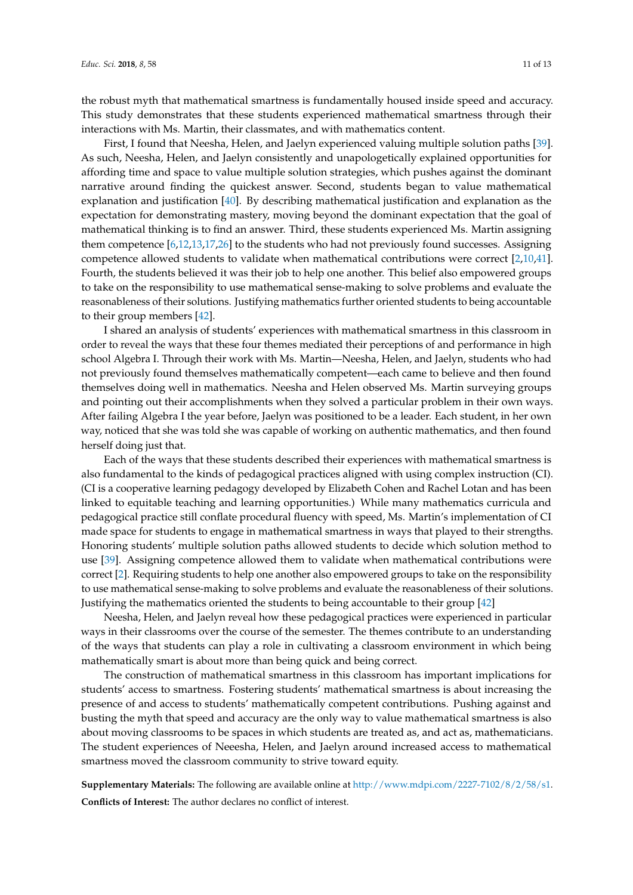the robust myth that mathematical smartness is fundamentally housed inside speed and accuracy. This study demonstrates that these students experienced mathematical smartness through their interactions with Ms. Martin, their classmates, and with mathematics content.

First, I found that Neesha, Helen, and Jaelyn experienced valuing multiple solution paths [\[39\]](#page-12-15). As such, Neesha, Helen, and Jaelyn consistently and unapologetically explained opportunities for affording time and space to value multiple solution strategies, which pushes against the dominant narrative around finding the quickest answer. Second, students began to value mathematical explanation and justification [\[40\]](#page-12-16). By describing mathematical justification and explanation as the expectation for demonstrating mastery, moving beyond the dominant expectation that the goal of mathematical thinking is to find an answer. Third, these students experienced Ms. Martin assigning them competence [\[6](#page-11-20)[,12,](#page-11-11)[13,](#page-11-7)[17,](#page-11-12)[26\]](#page-12-2) to the students who had not previously found successes. Assigning competence allowed students to validate when mathematical contributions were correct [\[2,](#page-11-5)[10,](#page-11-6)[41\]](#page-12-17). Fourth, the students believed it was their job to help one another. This belief also empowered groups to take on the responsibility to use mathematical sense-making to solve problems and evaluate the reasonableness of their solutions. Justifying mathematics further oriented students to being accountable to their group members [\[42\]](#page-12-18).

I shared an analysis of students' experiences with mathematical smartness in this classroom in order to reveal the ways that these four themes mediated their perceptions of and performance in high school Algebra I. Through their work with Ms. Martin—Neesha, Helen, and Jaelyn, students who had not previously found themselves mathematically competent—each came to believe and then found themselves doing well in mathematics. Neesha and Helen observed Ms. Martin surveying groups and pointing out their accomplishments when they solved a particular problem in their own ways. After failing Algebra I the year before, Jaelyn was positioned to be a leader. Each student, in her own way, noticed that she was told she was capable of working on authentic mathematics, and then found herself doing just that.

Each of the ways that these students described their experiences with mathematical smartness is also fundamental to the kinds of pedagogical practices aligned with using complex instruction (CI). (CI is a cooperative learning pedagogy developed by Elizabeth Cohen and Rachel Lotan and has been linked to equitable teaching and learning opportunities.) While many mathematics curricula and pedagogical practice still conflate procedural fluency with speed, Ms. Martin's implementation of CI made space for students to engage in mathematical smartness in ways that played to their strengths. Honoring students' multiple solution paths allowed students to decide which solution method to use [\[39\]](#page-12-15). Assigning competence allowed them to validate when mathematical contributions were correct [\[2\]](#page-11-5). Requiring students to help one another also empowered groups to take on the responsibility to use mathematical sense-making to solve problems and evaluate the reasonableness of their solutions. Justifying the mathematics oriented the students to being accountable to their group [\[42\]](#page-12-18)

Neesha, Helen, and Jaelyn reveal how these pedagogical practices were experienced in particular ways in their classrooms over the course of the semester. The themes contribute to an understanding of the ways that students can play a role in cultivating a classroom environment in which being mathematically smart is about more than being quick and being correct.

The construction of mathematical smartness in this classroom has important implications for students' access to smartness. Fostering students' mathematical smartness is about increasing the presence of and access to students' mathematically competent contributions. Pushing against and busting the myth that speed and accuracy are the only way to value mathematical smartness is also about moving classrooms to be spaces in which students are treated as, and act as, mathematicians. The student experiences of Neeesha, Helen, and Jaelyn around increased access to mathematical smartness moved the classroom community to strive toward equity.

**Supplementary Materials:** The following are available online at [http://www.mdpi.com/2227-7102/8/2/58/s1.](http://www.mdpi.com/2227-7102/8/2/58/s1) **Conflicts of Interest:** The author declares no conflict of interest.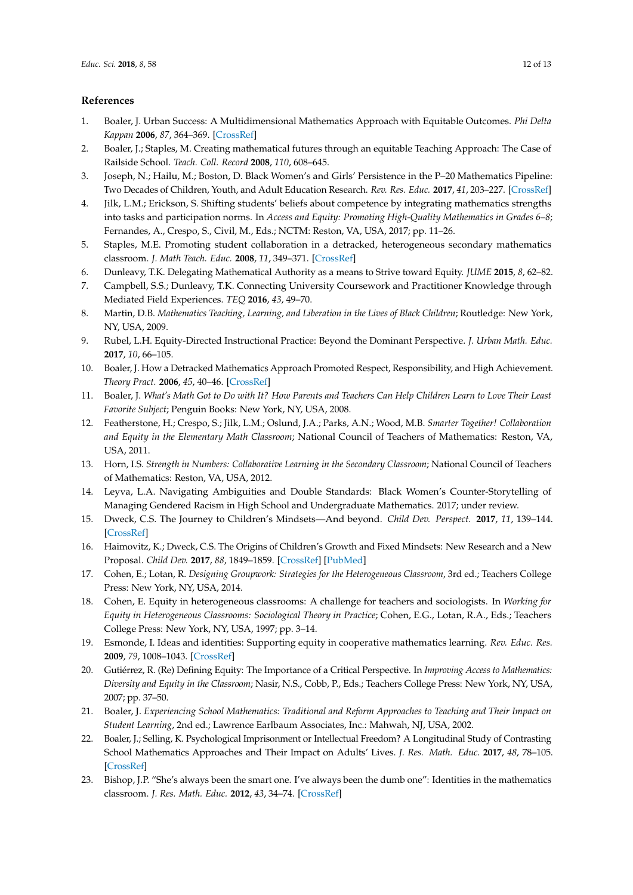# **References**

- <span id="page-11-0"></span>1. Boaler, J. Urban Success: A Multidimensional Mathematics Approach with Equitable Outcomes. *Phi Delta Kappan* **2006**, *87*, 364–369. [\[CrossRef\]](http://dx.doi.org/10.1177/003172170608700507)
- <span id="page-11-5"></span>2. Boaler, J.; Staples, M. Creating mathematical futures through an equitable Teaching Approach: The Case of Railside School. *Teach. Coll. Record* **2008**, *110*, 608–645.
- <span id="page-11-4"></span>3. Joseph, N.; Hailu, M.; Boston, D. Black Women's and Girls' Persistence in the P–20 Mathematics Pipeline: Two Decades of Children, Youth, and Adult Education Research. *Rev. Res. Educ.* **2017**, *41*, 203–227. [\[CrossRef\]](http://dx.doi.org/10.3102/0091732X16689045)
- <span id="page-11-2"></span>4. Jilk, L.M.; Erickson, S. Shifting students' beliefs about competence by integrating mathematics strengths into tasks and participation norms. In *Access and Equity: Promoting High-Quality Mathematics in Grades 6–8*; Fernandes, A., Crespo, S., Civil, M., Eds.; NCTM: Reston, VA, USA, 2017; pp. 11–26.
- <span id="page-11-1"></span>5. Staples, M.E. Promoting student collaboration in a detracked, heterogeneous secondary mathematics classroom. *J. Math Teach. Educ.* **2008**, *11*, 349–371. [\[CrossRef\]](http://dx.doi.org/10.1007/s10857-008-9078-8)
- <span id="page-11-20"></span>6. Dunleavy, T.K. Delegating Mathematical Authority as a means to Strive toward Equity. *JUME* **2015**, *8*, 62–82.
- <span id="page-11-22"></span>7. Campbell, S.S.; Dunleavy, T.K. Connecting University Coursework and Practitioner Knowledge through Mediated Field Experiences. *TEQ* **2016**, *43*, 49–70.
- <span id="page-11-21"></span>8. Martin, D.B. *Mathematics Teaching, Learning, and Liberation in the Lives of Black Children*; Routledge: New York, NY, USA, 2009.
- <span id="page-11-3"></span>9. Rubel, L.H. Equity-Directed Instructional Practice: Beyond the Dominant Perspective. *J. Urban Math. Educ.* **2017**, *10*, 66–105.
- <span id="page-11-6"></span>10. Boaler, J. How a Detracked Mathematics Approach Promoted Respect, Responsibility, and High Achievement. *Theory Pract.* **2006**, *45*, 40–46. [\[CrossRef\]](http://dx.doi.org/10.1207/s15430421tip4501_6)
- <span id="page-11-16"></span>11. Boaler, J. *What's Math Got to Do with It? How Parents and Teachers Can Help Children Learn to Love Their Least Favorite Subject*; Penguin Books: New York, NY, USA, 2008.
- <span id="page-11-11"></span>12. Featherstone, H.; Crespo, S.; Jilk, L.M.; Oslund, J.A.; Parks, A.N.; Wood, M.B. *Smarter Together! Collaboration and Equity in the Elementary Math Classroom*; National Council of Teachers of Mathematics: Reston, VA, USA, 2011.
- <span id="page-11-7"></span>13. Horn, I.S. *Strength in Numbers: Collaborative Learning in the Secondary Classroom*; National Council of Teachers of Mathematics: Reston, VA, USA, 2012.
- <span id="page-11-8"></span>14. Leyva, L.A. Navigating Ambiguities and Double Standards: Black Women's Counter-Storytelling of Managing Gendered Racism in High School and Undergraduate Mathematics. 2017; under review.
- <span id="page-11-9"></span>15. Dweck, C.S. The Journey to Children's Mindsets—And beyond. *Child Dev. Perspect.* **2017**, *11*, 139–144. [\[CrossRef\]](http://dx.doi.org/10.1111/cdep.12225)
- <span id="page-11-10"></span>16. Haimovitz, K.; Dweck, C.S. The Origins of Children's Growth and Fixed Mindsets: New Research and a New Proposal. *Child Dev.* **2017**, *88*, 1849–1859. [\[CrossRef\]](http://dx.doi.org/10.1111/cdev.12955) [\[PubMed\]](http://www.ncbi.nlm.nih.gov/pubmed/28905371)
- <span id="page-11-12"></span>17. Cohen, E.; Lotan, R. *Designing Groupwork: Strategies for the Heterogeneous Classroom*, 3rd ed.; Teachers College Press: New York, NY, USA, 2014.
- <span id="page-11-13"></span>18. Cohen, E. Equity in heterogeneous classrooms: A challenge for teachers and sociologists. In *Working for Equity in Heterogeneous Classrooms: Sociological Theory in Practice*; Cohen, E.G., Lotan, R.A., Eds.; Teachers College Press: New York, NY, USA, 1997; pp. 3–14.
- <span id="page-11-14"></span>19. Esmonde, I. Ideas and identities: Supporting equity in cooperative mathematics learning. *Rev. Educ. Res.* **2009**, *79*, 1008–1043. [\[CrossRef\]](http://dx.doi.org/10.3102/0034654309332562)
- <span id="page-11-15"></span>20. Gutiérrez, R. (Re) Defining Equity: The Importance of a Critical Perspective. In *Improving Access to Mathematics: Diversity and Equity in the Classroom*; Nasir, N.S., Cobb, P., Eds.; Teachers College Press: New York, NY, USA, 2007; pp. 37–50.
- <span id="page-11-17"></span>21. Boaler, J. *Experiencing School Mathematics: Traditional and Reform Approaches to Teaching and Their Impact on Student Learning*, 2nd ed.; Lawrence Earlbaum Associates, Inc.: Mahwah, NJ, USA, 2002.
- <span id="page-11-18"></span>22. Boaler, J.; Selling, K. Psychological Imprisonment or Intellectual Freedom? A Longitudinal Study of Contrasting School Mathematics Approaches and Their Impact on Adults' Lives. *J. Res. Math. Educ.* **2017**, *48*, 78–105. [\[CrossRef\]](http://dx.doi.org/10.5951/jresematheduc.48.1.0078)
- <span id="page-11-19"></span>23. Bishop, J.P. "She's always been the smart one. I've always been the dumb one": Identities in the mathematics classroom. *J. Res. Math. Educ.* **2012**, *43*, 34–74. [\[CrossRef\]](http://dx.doi.org/10.5951/jresematheduc.43.1.0034)